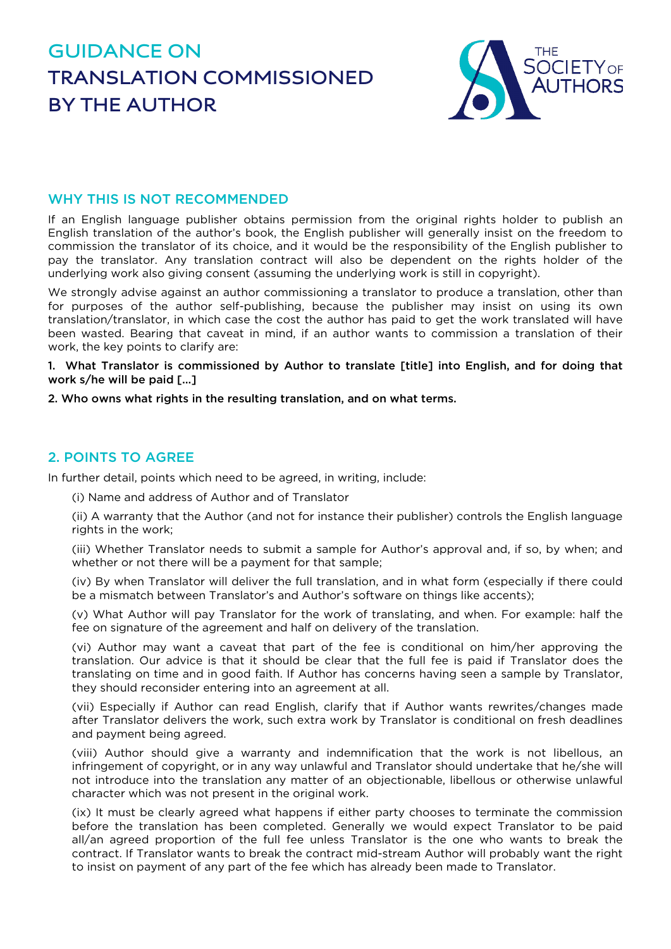# **GUIDANCE ON TRANSLATION COMMISSIONED BY THE AUTHOR**



## WHY THIS IS NOT RECOMMENDED

If an English language publisher obtains permission from the original rights holder to publish an English translation of the author's book, the English publisher will generally insist on the freedom to commission the translator of its choice, and it would be the responsibility of the English publisher to pay the translator. Any translation contract will also be dependent on the rights holder of the underlying work also giving consent (assuming the underlying work is still in copyright).

We strongly advise against an author commissioning a translator to produce a translation, other than for purposes of the author self-publishing, because the publisher may insist on using its own translation/translator, in which case the cost the author has paid to get the work translated will have been wasted. Bearing that caveat in mind, if an author wants to commission a translation of their work, the key points to clarify are:

1. What Translator is commissioned by Author to translate [title] into English, and for doing that work s/he will be paid [...]

2. Who owns what rights in the resulting translation, and on what terms.

### 2. POINTS TO AGREE

In further detail, points which need to be agreed, in writing, include:

(i) Name and address of Author and of Translator

(ii) A warranty that the Author (and not for instance their publisher) controls the English language rights in the work;

(iii) Whether Translator needs to submit a sample for Author's approval and, if so, by when; and whether or not there will be a payment for that sample;

(iv) By when Translator will deliver the full translation, and in what form (especially if there could be a mismatch between Translator's and Author's software on things like accents);

(v) What Author will pay Translator for the work of translating, and when. For example: half the fee on signature of the agreement and half on delivery of the translation.

(vi) Author may want a caveat that part of the fee is conditional on him/her approving the translation. Our advice is that it should be clear that the full fee is paid if Translator does the translating on time and in good faith. If Author has concerns having seen a sample by Translator, they should reconsider entering into an agreement at all.

(vii) Especially if Author can read English, clarify that if Author wants rewrites/changes made after Translator delivers the work, such extra work by Translator is conditional on fresh deadlines and payment being agreed.

(viii) Author should give a warranty and indemnification that the work is not libellous, an infringement of copyright, or in any way unlawful and Translator should undertake that he/she will not introduce into the translation any matter of an objectionable, libellous or otherwise unlawful character which was not present in the original work.

(ix) It must be clearly agreed what happens if either party chooses to terminate the commission before the translation has been completed. Generally we would expect Translator to be paid all/an agreed proportion of the full fee unless Translator is the one who wants to break the contract. If Translator wants to break the contract mid-stream Author will probably want the right to insist on payment of any part of the fee which has already been made to Translator.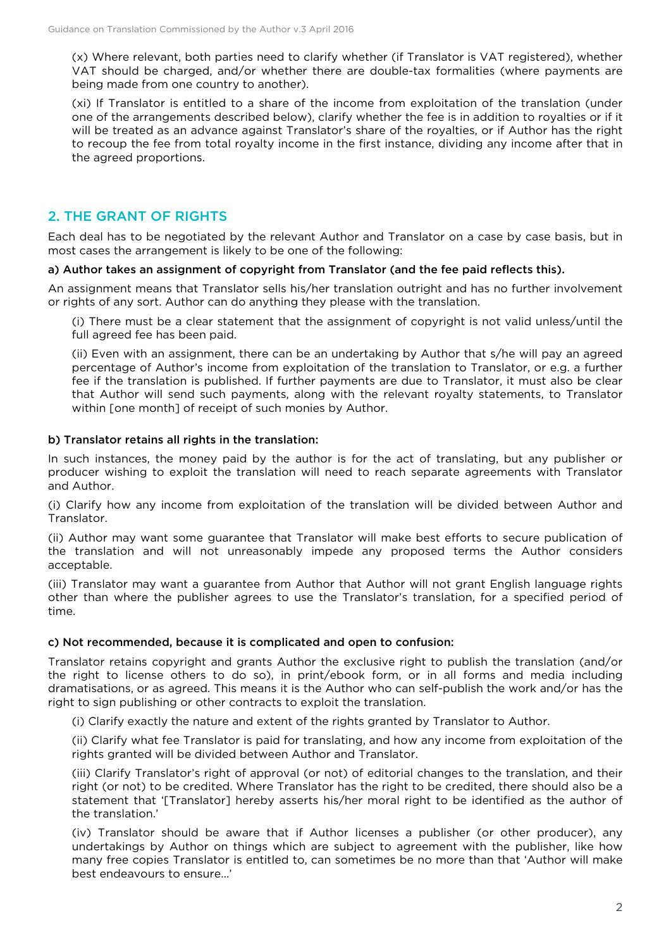(x) Where relevant, both parties need to clarify whether (if Translator is VAT registered), whether VAT should be charged, and/or whether there are double-tax formalities (where payments are being made from one country to another).

(xi) If Translator is entitled to a share of the income from exploitation of the translation (under one of the arrangements described below), clarify whether the fee is in addition to royalties or if it will be treated as an advance against Translator's share of the royalties, or if Author has the right to recoup the fee from total royalty income in the first instance, dividing any income after that in the agreed proportions.

## 2. THE GRANT OF RIGHTS

Each deal has to be negotiated by the relevant Author and Translator on a case by case basis, but in most cases the arrangement is likely to be one of the following:

#### a) Author takes an assignment of copyright from Translator (and the fee paid reflects this).

An assignment means that Translator sells his/her translation outright and has no further involvement or rights of any sort. Author can do anything they please with the translation.

(i) There must be a clear statement that the assignment of copyright is not valid unless/until the full agreed fee has been paid.

(ii) Even with an assignment, there can be an undertaking by Author that s/he will pay an agreed percentage of Author's income from exploitation of the translation to Translator, or e.g. a further fee if the translation is published. If further payments are due to Translator, it must also be clear that Author will send such payments, along with the relevant royalty statements, to Translator within [one month] of receipt of such monies by Author.

#### b) Translator retains all rights in the translation:

In such instances, the money paid by the author is for the act of translating, but any publisher or producer wishing to exploit the translation will need to reach separate agreements with Translator and Author.

(i) Clarify how any income from exploitation of the translation will be divided between Author and Translator.

(ii) Author may want some guarantee that Translator will make best efforts to secure publication of the translation and will not unreasonably impede any proposed terms the Author considers acceptable.

(iii) Translator may want a guarantee from Author that Author will not grant English language rights other than where the publisher agrees to use the Translator's translation, for a specified period of time.

#### c) Not recommended, because it is complicated and open to confusion:

Translator retains copyright and grants Author the exclusive right to publish the translation (and/or the right to license others to do so), in print/ebook form, or in all forms and media including dramatisations, or as agreed. This means it is the Author who can self-publish the work and/or has the right to sign publishing or other contracts to exploit the translation.

(i) Clarify exactly the nature and extent of the rights granted by Translator to Author.

(ii) Clarify what fee Translator is paid for translating, and how any income from exploitation of the rights granted will be divided between Author and Translator.

(iii) Clarify Translator's right of approval (or not) of editorial changes to the translation, and their right (or not) to be credited. Where Translator has the right to be credited, there should also be a statement that '[Translator] hereby asserts his/her moral right to be identified as the author of the translation.'

(iv) Translator should be aware that if Author licenses a publisher (or other producer), any undertakings by Author on things which are subject to agreement with the publisher, like how many free copies Translator is entitled to, can sometimes be no more than that 'Author will make best endeavours to ensure...'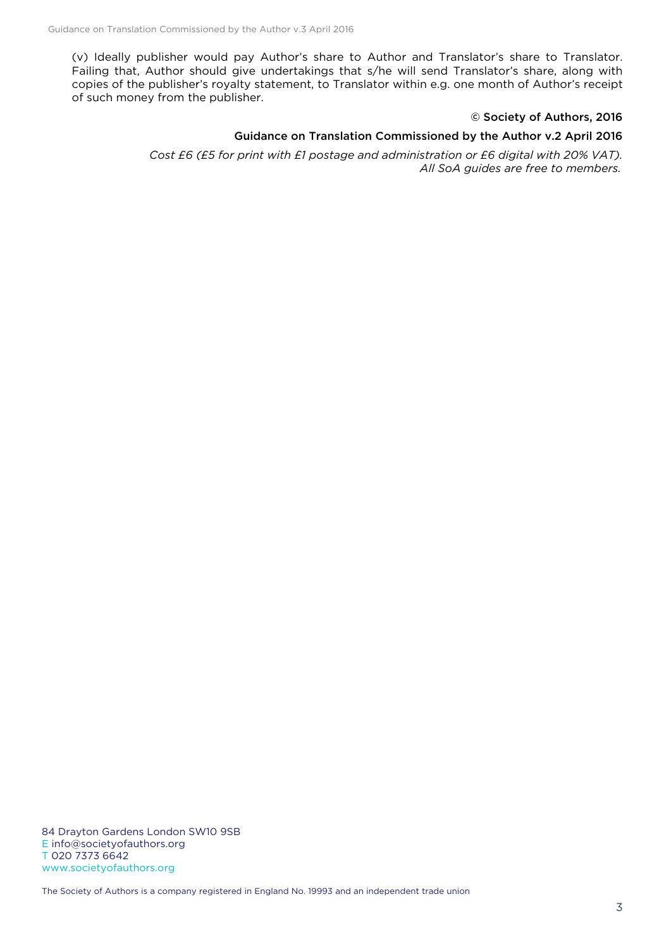(v) Ideally publisher would pay Author's share to Author and Translator's share to Translator. Failing that, Author should give undertakings that s/he will send Translator's share, along with copies of the publisher's royalty statement, to Translator within e.g. one month of Author's receipt of such money from the publisher.

#### © Society of Authors, 2016

#### Guidance on Translation Commissioned by the Author v.2 April 2016

*Cost £6 (£5 for print with £1 postage and administration or £6 digital with 20% VAT). All SoA guides are free to members.*

84 Drayton Gardens London SW10 9SB E info@societyofauthors.org T 020 7373 6642 www.societyofauthors.org